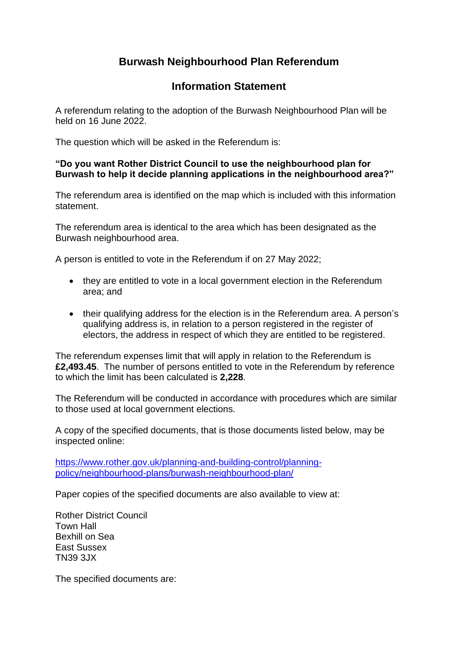## **Burwash Neighbourhood Plan Referendum**

## **Information Statement**

A referendum relating to the adoption of the Burwash Neighbourhood Plan will be held on 16 June 2022.

The question which will be asked in the Referendum is:

## **"Do you want Rother District Council to use the neighbourhood plan for Burwash to help it decide planning applications in the neighbourhood area?"**

The referendum area is identified on the map which is included with this information statement.

The referendum area is identical to the area which has been designated as the Burwash neighbourhood area.

A person is entitled to vote in the Referendum if on 27 May 2022;

- they are entitled to vote in a local government election in the Referendum area; and
- their qualifying address for the election is in the Referendum area. A person's qualifying address is, in relation to a person registered in the register of electors, the address in respect of which they are entitled to be registered.

The referendum expenses limit that will apply in relation to the Referendum is **£2,493.45**. The number of persons entitled to vote in the Referendum by reference to which the limit has been calculated is **2,228**.

The Referendum will be conducted in accordance with procedures which are similar to those used at local government elections.

A copy of the specified documents, that is those documents listed below, may be inspected online:

[https://www.rother.gov.uk/planning-and-building-control/planning](https://www.rother.gov.uk/planning-and-building-control/planning-policy/neighbourhood-plans/burwash-neighbourhood-plan/)[policy/neighbourhood-plans/burwash-neighbourhood-plan/](https://www.rother.gov.uk/planning-and-building-control/planning-policy/neighbourhood-plans/burwash-neighbourhood-plan/)

Paper copies of the specified documents are also available to view at:

Rother District Council Town Hall Bexhill on Sea East Sussex TN39 3JX

The specified documents are: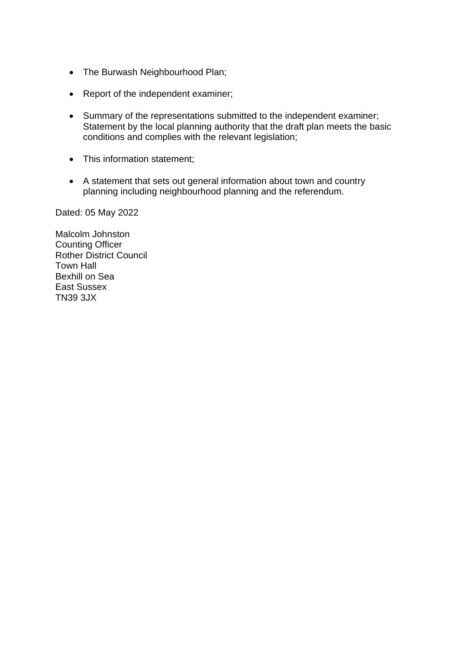- The Burwash Neighbourhood Plan;
- Report of the independent examiner;
- Summary of the representations submitted to the independent examiner; Statement by the local planning authority that the draft plan meets the basic conditions and complies with the relevant legislation;
- This information statement;
- A statement that sets out general information about town and country planning including neighbourhood planning and the referendum.

Dated: 05 May 2022

Malcolm Johnston Counting Officer Rother District Council Town Hall Bexhill on Sea East Sussex TN39 3JX